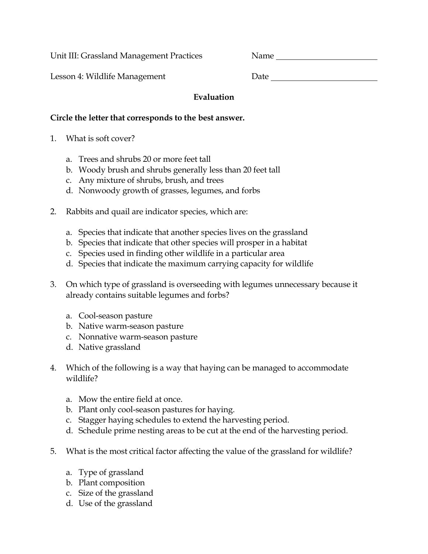Unit III: Grassland Management Practices Name

Lesson 4: Wildlife Management Date Date of Date of Date of Date of Date of Date of Date of Date of Date of Date of Date of Date of Date of Date of Date of Date of Date of Date of Date of Date of Date of Date of Date of Dat

| ate |  |  |  |
|-----|--|--|--|
|     |  |  |  |

## **Evaluation**

## **Circle the letter that corresponds to the best answer.**

- 1. What is soft cover?
	- a. Trees and shrubs 20 or more feet tall
	- b. Woody brush and shrubs generally less than 20 feet tall
	- c. Any mixture of shrubs, brush, and trees
	- d. Nonwoody growth of grasses, legumes, and forbs
- 2. Rabbits and quail are indicator species, which are:
	- a. Species that indicate that another species lives on the grassland
	- b. Species that indicate that other species will prosper in a habitat
	- c. Species used in finding other wildlife in a particular area
	- d. Species that indicate the maximum carrying capacity for wildlife
- 3. On which type of grassland is overseeding with legumes unnecessary because it already contains suitable legumes and forbs?
	- a. Cool-season pasture
	- b. Native warm-season pasture
	- c. Nonnative warm-season pasture
	- d. Native grassland
- 4. Which of the following is a way that haying can be managed to accommodate wildlife?
	- a. Mow the entire field at once.
	- b. Plant only cool-season pastures for haying.
	- c. Stagger haying schedules to extend the harvesting period.
	- d. Schedule prime nesting areas to be cut at the end of the harvesting period.
- 5. What is the most critical factor affecting the value of the grassland for wildlife?
	- a. Type of grassland
	- b. Plant composition
	- c. Size of the grassland
	- d. Use of the grassland